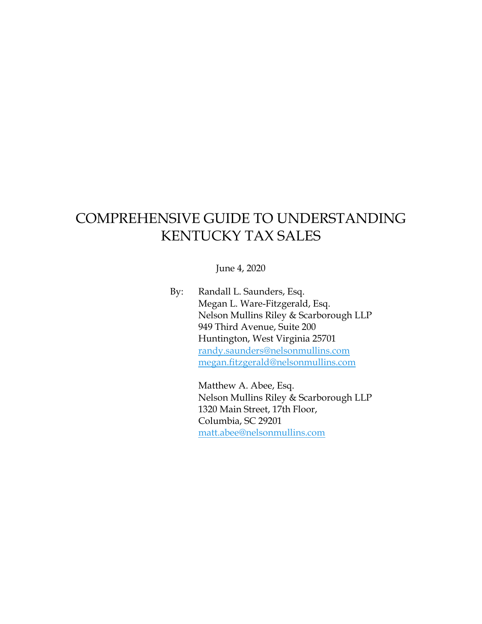## COMPREHENSIVE GUIDE TO UNDERSTANDING KENTUCKY TAX SALES

June 4, 2020

By: Randall L. Saunders, Esq. Megan L. Ware-Fitzgerald, Esq. Nelson Mullins Riley & Scarborough LLP 949 Third Avenue, Suite 200 Huntington, West Virginia 25701 [randy.saunders@nelsonmullins.com](mailto:randy.saunders@nelsonmullins.com) megan.fitzgerald@nelsonmullins.com

> Matthew A. Abee, Esq. Nelson Mullins Riley & Scarborough LLP 1320 Main Street, 17th Floor, Columbia, SC 29201 [matt.abee@nelsonmullins.com](mailto:matt.abee@nelsonmullins.com)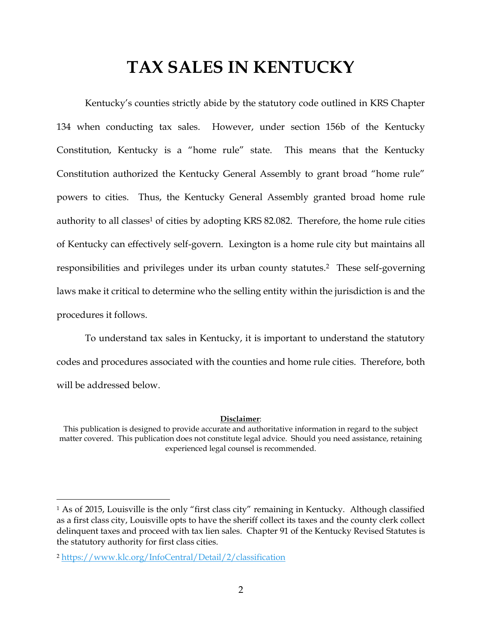# **TAX SALES IN KENTUCKY**

Kentucky's counties strictly abide by the statutory code outlined in KRS Chapter 134 when conducting tax sales. However, under section 156b of the Kentucky Constitution, Kentucky is a "home rule" state. This means that the Kentucky Constitution authorized the Kentucky General Assembly to grant broad "home rule" powers to cities. Thus, the Kentucky General Assembly granted broad home rule authority to all classes<sup>1</sup> of cities by adopting KRS 82.082. Therefore, the home rule cities of Kentucky can effectively self-govern. Lexington is a home rule city but maintains all responsibilities and privileges under its urban county statutes.2 These self-governing laws make it critical to determine who the selling entity within the jurisdiction is and the procedures it follows.

To understand tax sales in Kentucky, it is important to understand the statutory codes and procedures associated with the counties and home rule cities. Therefore, both will be addressed below.

#### **Disclaimer**:

This publication is designed to provide accurate and authoritative information in regard to the subject matter covered. This publication does not constitute legal advice. Should you need assistance, retaining experienced legal counsel is recommended.

l

<sup>1</sup> As of 2015, Louisville is the only "first class city" remaining in Kentucky. Although classified as a first class city, Louisville opts to have the sheriff collect its taxes and the county clerk collect delinquent taxes and proceed with tax lien sales. Chapter 91 of the Kentucky Revised Statutes is the statutory authority for first class cities.

<sup>2</sup> <https://www.klc.org/InfoCentral/Detail/2/classification>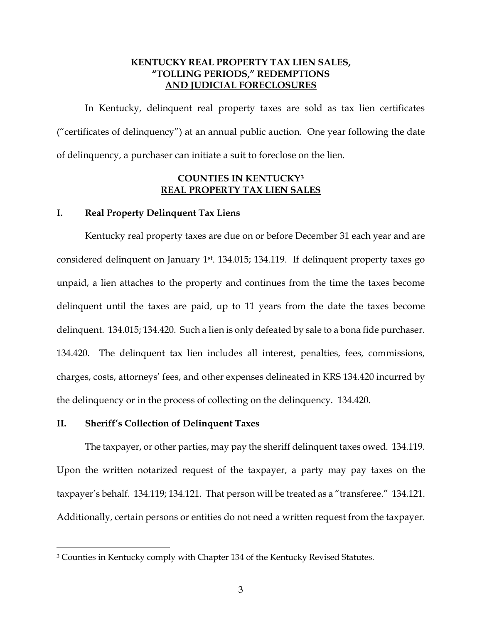## **KENTUCKY REAL PROPERTY TAX LIEN SALES, "TOLLING PERIODS," REDEMPTIONS AND JUDICIAL FORECLOSURES**

In Kentucky, delinquent real property taxes are sold as tax lien certificates ("certificates of delinquency") at an annual public auction. One year following the date of delinquency, a purchaser can initiate a suit to foreclose on the lien.

## **COUNTIES IN KENTUCKY<sup>3</sup> REAL PROPERTY TAX LIEN SALES**

#### **I. Real Property Delinquent Tax Liens**

Kentucky real property taxes are due on or before December 31 each year and are considered delinquent on January 1<sup>st</sup>. 134.015; 134.119. If delinquent property taxes go unpaid, a lien attaches to the property and continues from the time the taxes become delinquent until the taxes are paid, up to 11 years from the date the taxes become delinquent. 134.015; 134.420. Such a lien is only defeated by sale to a bona fide purchaser. 134.420. The delinquent tax lien includes all interest, penalties, fees, commissions, charges, costs, attorneys' fees, and other expenses delineated in KRS 134.420 incurred by the delinquency or in the process of collecting on the delinquency. 134.420.

#### **II. Sheriff's Collection of Delinquent Taxes**

l

The taxpayer, or other parties, may pay the sheriff delinquent taxes owed. 134.119. Upon the written notarized request of the taxpayer, a party may pay taxes on the taxpayer's behalf. 134.119; 134.121. That person will be treated as a "transferee." 134.121. Additionally, certain persons or entities do not need a written request from the taxpayer.

<sup>&</sup>lt;sup>3</sup> Counties in Kentucky comply with Chapter 134 of the Kentucky Revised Statutes.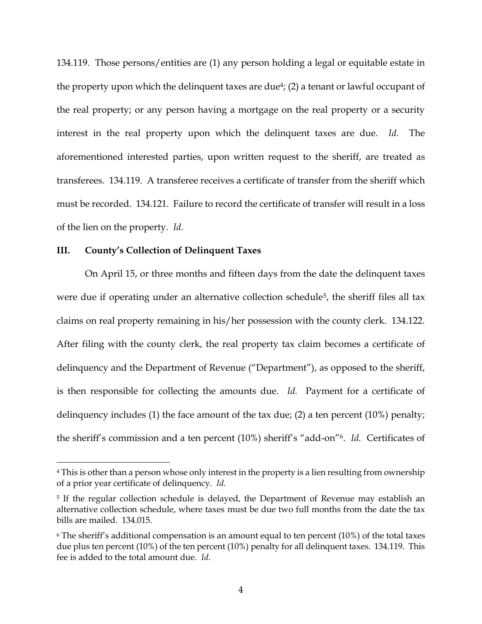134.119. Those persons/entities are (1) any person holding a legal or equitable estate in the property upon which the delinquent taxes are due<sup>4</sup>; (2) a tenant or lawful occupant of the real property; or any person having a mortgage on the real property or a security interest in the real property upon which the delinquent taxes are due. *Id.* The aforementioned interested parties, upon written request to the sheriff, are treated as transferees. 134.119. A transferee receives a certificate of transfer from the sheriff which must be recorded. 134.121. Failure to record the certificate of transfer will result in a loss of the lien on the property. *Id.*

#### **III. County's Collection of Delinquent Taxes**

l

On April 15, or three months and fifteen days from the date the delinquent taxes were due if operating under an alternative collection schedule<sup>5</sup>, the sheriff files all tax claims on real property remaining in his/her possession with the county clerk. 134.122. After filing with the county clerk, the real property tax claim becomes a certificate of delinquency and the Department of Revenue ("Department"), as opposed to the sheriff, is then responsible for collecting the amounts due. *Id.* Payment for a certificate of delinquency includes (1) the face amount of the tax due; (2) a ten percent (10%) penalty; the sheriff's commission and a ten percent (10%) sheriff's "add-on"6. *Id.* Certificates of

<sup>&</sup>lt;sup>4</sup> This is other than a person whose only interest in the property is a lien resulting from ownership of a prior year certificate of delinquency. *Id.*

<sup>&</sup>lt;sup>5</sup> If the regular collection schedule is delayed, the Department of Revenue may establish an alternative collection schedule, where taxes must be due two full months from the date the tax bills are mailed. 134.015.

 $6$  The sheriff's additional compensation is an amount equal to ten percent (10%) of the total taxes due plus ten percent (10%) of the ten percent (10%) penalty for all delinquent taxes. 134.119. This fee is added to the total amount due. *Id.*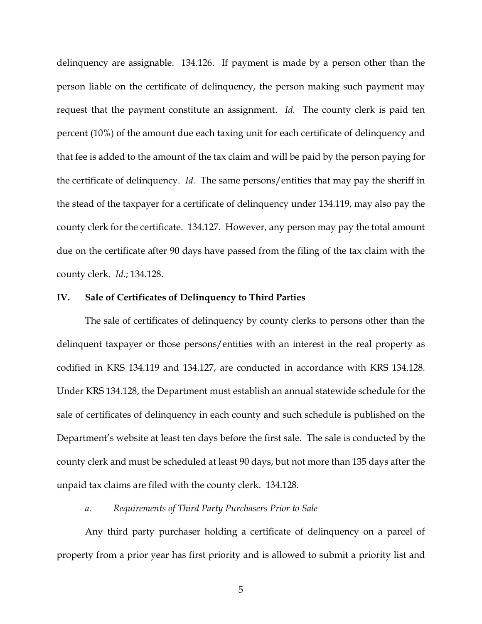delinquency are assignable. 134.126. If payment is made by a person other than the person liable on the certificate of delinquency, the person making such payment may request that the payment constitute an assignment. *Id.* The county clerk is paid ten percent (10%) of the amount due each taxing unit for each certificate of delinquency and that fee is added to the amount of the tax claim and will be paid by the person paying for the certificate of delinquency. *Id.* The same persons/entities that may pay the sheriff in the stead of the taxpayer for a certificate of delinquency under 134.119, may also pay the county clerk for the certificate. 134.127. However, any person may pay the total amount due on the certificate after 90 days have passed from the filing of the tax claim with the county clerk. *Id.*; 134.128.

#### **IV. Sale of Certificates of Delinquency to Third Parties**

The sale of certificates of delinquency by county clerks to persons other than the delinquent taxpayer or those persons/entities with an interest in the real property as codified in KRS 134.119 and 134.127, are conducted in accordance with KRS 134.128. Under KRS 134.128, the Department must establish an annual statewide schedule for the sale of certificates of delinquency in each county and such schedule is published on the Department's website at least ten days before the first sale. The sale is conducted by the county clerk and must be scheduled at least 90 days, but not more than 135 days after the unpaid tax claims are filed with the county clerk. 134.128.

#### *a. Requirements of Third Party Purchasers Prior to Sale*

Any third party purchaser holding a certificate of delinquency on a parcel of property from a prior year has first priority and is allowed to submit a priority list and

5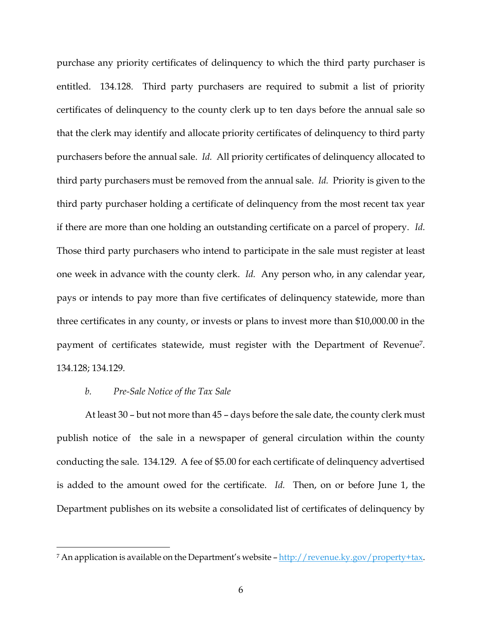purchase any priority certificates of delinquency to which the third party purchaser is entitled. 134.128. Third party purchasers are required to submit a list of priority certificates of delinquency to the county clerk up to ten days before the annual sale so that the clerk may identify and allocate priority certificates of delinquency to third party purchasers before the annual sale. *Id.* All priority certificates of delinquency allocated to third party purchasers must be removed from the annual sale. *Id.* Priority is given to the third party purchaser holding a certificate of delinquency from the most recent tax year if there are more than one holding an outstanding certificate on a parcel of propery. *Id.* Those third party purchasers who intend to participate in the sale must register at least one week in advance with the county clerk. *Id.* Any person who, in any calendar year, pays or intends to pay more than five certificates of delinquency statewide, more than three certificates in any county, or invests or plans to invest more than \$10,000.00 in the payment of certificates statewide, must register with the Department of Revenue7. 134.128; 134.129.

## *b. Pre-Sale Notice of the Tax Sale*

l

At least 30 – but not more than 45 – days before the sale date, the county clerk must publish notice of the sale in a newspaper of general circulation within the county conducting the sale. 134.129. A fee of \$5.00 for each certificate of delinquency advertised is added to the amount owed for the certificate. *Id.* Then, on or before June 1, the Department publishes on its website a consolidated list of certificates of delinquency by

<sup>&</sup>lt;sup>7</sup> An application is available on the Department's website - [http://revenue.ky.gov/property+tax.](http://revenue.ky.gov/property+tax)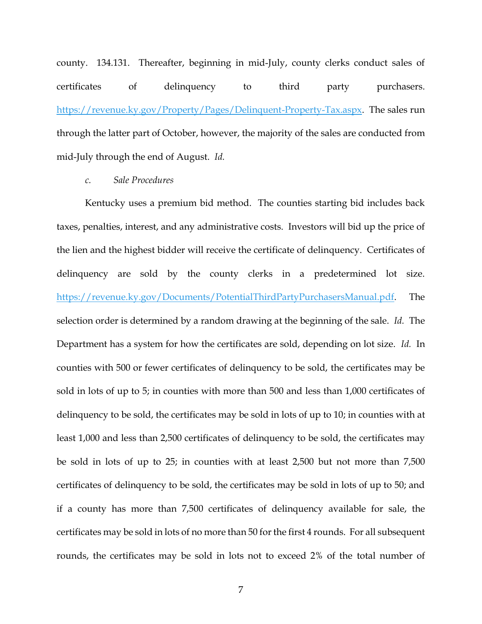county. 134.131. Thereafter, beginning in mid-July, county clerks conduct sales of certificates of delinquency to third party purchasers. [https://revenue.ky.gov/Property/Pages/Delinquent-Property-Tax.aspx.](https://revenue.ky.gov/Property/Pages/Delinquent-Property-Tax.aspx) The sales run through the latter part of October, however, the majority of the sales are conducted from mid-July through the end of August. *Id.*

#### *c. Sale Procedures*

Kentucky uses a premium bid method. The counties starting bid includes back taxes, penalties, interest, and any administrative costs. Investors will bid up the price of the lien and the highest bidder will receive the certificate of delinquency. Certificates of delinquency are sold by the county clerks in a predetermined lot size. [https://revenue.ky.gov/Documents/PotentialThirdPartyPurchasersManual.pdf.](https://revenue.ky.gov/Documents/PotentialThirdPartyPurchasersManual.pdf) The selection order is determined by a random drawing at the beginning of the sale. *Id.* The Department has a system for how the certificates are sold, depending on lot size. *Id.* In counties with 500 or fewer certificates of delinquency to be sold, the certificates may be sold in lots of up to 5; in counties with more than 500 and less than 1,000 certificates of delinquency to be sold, the certificates may be sold in lots of up to 10; in counties with at least 1,000 and less than 2,500 certificates of delinquency to be sold, the certificates may be sold in lots of up to 25; in counties with at least 2,500 but not more than 7,500 certificates of delinquency to be sold, the certificates may be sold in lots of up to 50; and if a county has more than 7,500 certificates of delinquency available for sale, the certificates may be sold in lots of no more than 50 for the first 4 rounds. For all subsequent rounds, the certificates may be sold in lots not to exceed 2% of the total number of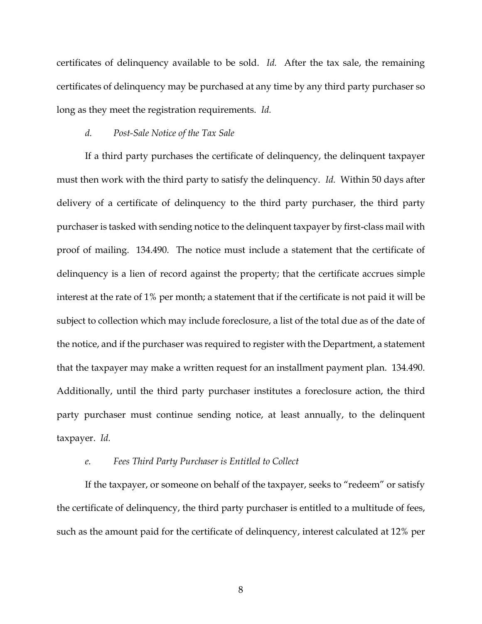certificates of delinquency available to be sold. *Id.* After the tax sale, the remaining certificates of delinquency may be purchased at any time by any third party purchaser so long as they meet the registration requirements. *Id.*

#### *d. Post-Sale Notice of the Tax Sale*

If a third party purchases the certificate of delinquency, the delinquent taxpayer must then work with the third party to satisfy the delinquency. *Id.* Within 50 days after delivery of a certificate of delinquency to the third party purchaser, the third party purchaser is tasked with sending notice to the delinquent taxpayer by first-class mail with proof of mailing. 134.490. The notice must include a statement that the certificate of delinquency is a lien of record against the property; that the certificate accrues simple interest at the rate of 1% per month; a statement that if the certificate is not paid it will be subject to collection which may include foreclosure, a list of the total due as of the date of the notice, and if the purchaser was required to register with the Department, a statement that the taxpayer may make a written request for an installment payment plan. 134.490. Additionally, until the third party purchaser institutes a foreclosure action, the third party purchaser must continue sending notice, at least annually, to the delinquent taxpayer. *Id.*

#### *e. Fees Third Party Purchaser is Entitled to Collect*

If the taxpayer, or someone on behalf of the taxpayer, seeks to "redeem" or satisfy the certificate of delinquency, the third party purchaser is entitled to a multitude of fees, such as the amount paid for the certificate of delinquency, interest calculated at 12% per

8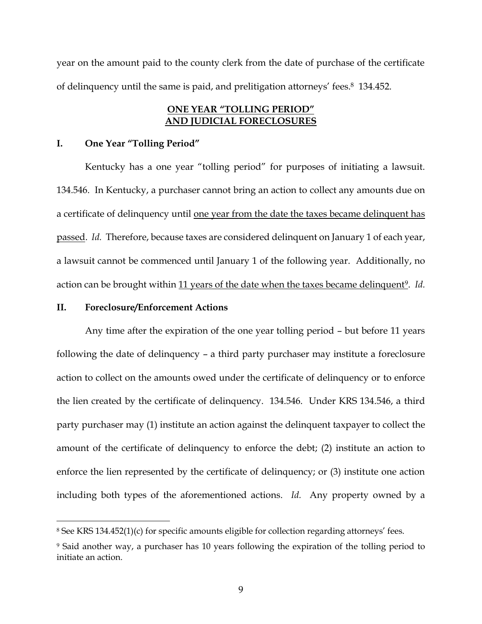year on the amount paid to the county clerk from the date of purchase of the certificate of delinquency until the same is paid, and prelitigation attorneys' fees. <sup>8</sup> 134.452.

## **ONE YEAR "TOLLING PERIOD" AND JUDICIAL FORECLOSURES**

#### **I. One Year "Tolling Period"**

Kentucky has a one year "tolling period" for purposes of initiating a lawsuit. 134.546. In Kentucky, a purchaser cannot bring an action to collect any amounts due on a certificate of delinquency until one year from the date the taxes became delinquent has passed. *Id.* Therefore, because taxes are considered delinquent on January 1 of each year, a lawsuit cannot be commenced until January 1 of the following year. Additionally, no action can be brought within 11 years of the date when the taxes became delinquent<sup>9</sup>. *Id.* 

## **II. Foreclosure/Enforcement Actions**

 $\overline{a}$ 

Any time after the expiration of the one year tolling period – but before 11 years following the date of delinquency – a third party purchaser may institute a foreclosure action to collect on the amounts owed under the certificate of delinquency or to enforce the lien created by the certificate of delinquency. 134.546. Under KRS 134.546, a third party purchaser may (1) institute an action against the delinquent taxpayer to collect the amount of the certificate of delinquency to enforce the debt; (2) institute an action to enforce the lien represented by the certificate of delinquency; or (3) institute one action including both types of the aforementioned actions. *Id.* Any property owned by a

<sup>8</sup> See KRS 134.452(1)(c) for specific amounts eligible for collection regarding attorneys' fees.

<sup>9</sup> Said another way, a purchaser has 10 years following the expiration of the tolling period to initiate an action.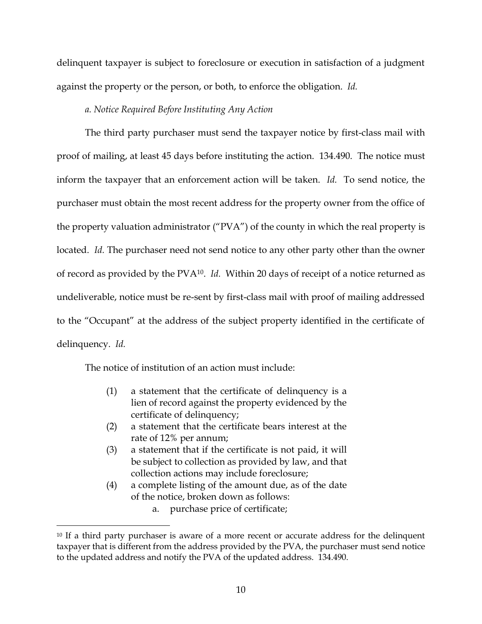delinquent taxpayer is subject to foreclosure or execution in satisfaction of a judgment against the property or the person, or both, to enforce the obligation. *Id.*

## *a. Notice Required Before Instituting Any Action*

The third party purchaser must send the taxpayer notice by first-class mail with proof of mailing, at least 45 days before instituting the action. 134.490. The notice must inform the taxpayer that an enforcement action will be taken. *Id.* To send notice, the purchaser must obtain the most recent address for the property owner from the office of the property valuation administrator ("PVA") of the county in which the real property is located. *Id.* The purchaser need not send notice to any other party other than the owner of record as provided by the PVA10. *Id.* Within 20 days of receipt of a notice returned as undeliverable, notice must be re-sent by first-class mail with proof of mailing addressed to the "Occupant" at the address of the subject property identified in the certificate of delinquency. *Id.*

The notice of institution of an action must include:

 $\overline{a}$ 

- (1) a statement that the certificate of delinquency is a lien of record against the property evidenced by the certificate of delinquency;
- (2) a statement that the certificate bears interest at the rate of 12% per annum;
- (3) a statement that if the certificate is not paid, it will be subject to collection as provided by law, and that collection actions may include foreclosure;
- (4) a complete listing of the amount due, as of the date of the notice, broken down as follows:

a. purchase price of certificate;

<sup>&</sup>lt;sup>10</sup> If a third party purchaser is aware of a more recent or accurate address for the delinquent taxpayer that is different from the address provided by the PVA, the purchaser must send notice to the updated address and notify the PVA of the updated address. 134.490.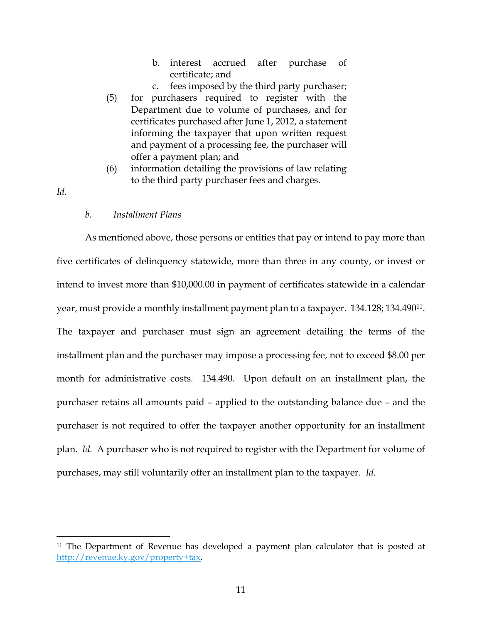- b. interest accrued after purchase of certificate; and
- c. fees imposed by the third party purchaser; (5) for purchasers required to register with the Department due to volume of purchases, and for certificates purchased after June 1, 2012, a statement informing the taxpayer that upon written request and payment of a processing fee, the purchaser will offer a payment plan; and
- (6) information detailing the provisions of law relating to the third party purchaser fees and charges.
- *Id.*

l

*b. Installment Plans* 

As mentioned above, those persons or entities that pay or intend to pay more than five certificates of delinquency statewide, more than three in any county, or invest or intend to invest more than \$10,000.00 in payment of certificates statewide in a calendar year, must provide a monthly installment payment plan to a taxpayer. 134.128; 134.49011. The taxpayer and purchaser must sign an agreement detailing the terms of the installment plan and the purchaser may impose a processing fee, not to exceed \$8.00 per month for administrative costs. 134.490. Upon default on an installment plan, the purchaser retains all amounts paid – applied to the outstanding balance due – and the purchaser is not required to offer the taxpayer another opportunity for an installment plan. *Id.* A purchaser who is not required to register with the Department for volume of purchases, may still voluntarily offer an installment plan to the taxpayer. *Id.*

<sup>&</sup>lt;sup>11</sup> The Department of Revenue has developed a payment plan calculator that is posted at [http://revenue.ky.gov/property+tax.](http://revenue.ky.gov/property+tax)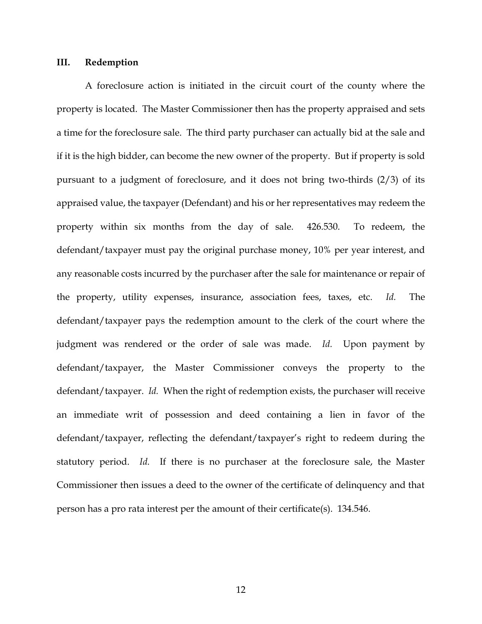#### **III. Redemption**

A foreclosure action is initiated in the circuit court of the county where the property is located. The Master Commissioner then has the property appraised and sets a time for the foreclosure sale. The third party purchaser can actually bid at the sale and if it is the high bidder, can become the new owner of the property. But if property is sold pursuant to a judgment of foreclosure, and it does not bring two-thirds (2/3) of its appraised value, the taxpayer (Defendant) and his or her representatives may redeem the property within six months from the day of sale. 426.530. To redeem, the defendant/taxpayer must pay the original purchase money, 10% per year interest, and any reasonable costs incurred by the purchaser after the sale for maintenance or repair of the property, utility expenses, insurance, association fees, taxes, etc. *Id.* The defendant/taxpayer pays the redemption amount to the clerk of the court where the judgment was rendered or the order of sale was made. *Id.* Upon payment by defendant/taxpayer, the Master Commissioner conveys the property to the defendant/taxpayer. *Id.* When the right of redemption exists, the purchaser will receive an immediate writ of possession and deed containing a lien in favor of the defendant/taxpayer, reflecting the defendant/taxpayer's right to redeem during the statutory period. *Id.* If there is no purchaser at the foreclosure sale, the Master Commissioner then issues a deed to the owner of the certificate of delinquency and that person has a pro rata interest per the amount of their certificate(s). 134.546.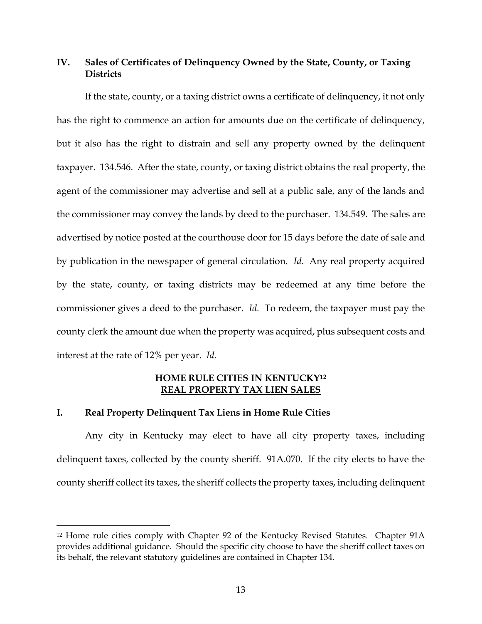## **IV. Sales of Certificates of Delinquency Owned by the State, County, or Taxing Districts**

If the state, county, or a taxing district owns a certificate of delinquency, it not only has the right to commence an action for amounts due on the certificate of delinquency, but it also has the right to distrain and sell any property owned by the delinquent taxpayer. 134.546. After the state, county, or taxing district obtains the real property, the agent of the commissioner may advertise and sell at a public sale, any of the lands and the commissioner may convey the lands by deed to the purchaser. 134.549. The sales are advertised by notice posted at the courthouse door for 15 days before the date of sale and by publication in the newspaper of general circulation. *Id.* Any real property acquired by the state, county, or taxing districts may be redeemed at any time before the commissioner gives a deed to the purchaser. *Id.* To redeem, the taxpayer must pay the county clerk the amount due when the property was acquired, plus subsequent costs and interest at the rate of 12% per year. *Id.*

## **HOME RULE CITIES IN KENTUCKY<sup>12</sup> REAL PROPERTY TAX LIEN SALES**

## **I. Real Property Delinquent Tax Liens in Home Rule Cities**

 $\overline{a}$ 

Any city in Kentucky may elect to have all city property taxes, including delinquent taxes, collected by the county sheriff. 91A.070. If the city elects to have the county sheriff collect its taxes, the sheriff collects the property taxes, including delinquent

<sup>&</sup>lt;sup>12</sup> Home rule cities comply with Chapter 92 of the Kentucky Revised Statutes. Chapter 91A provides additional guidance. Should the specific city choose to have the sheriff collect taxes on its behalf, the relevant statutory guidelines are contained in Chapter 134.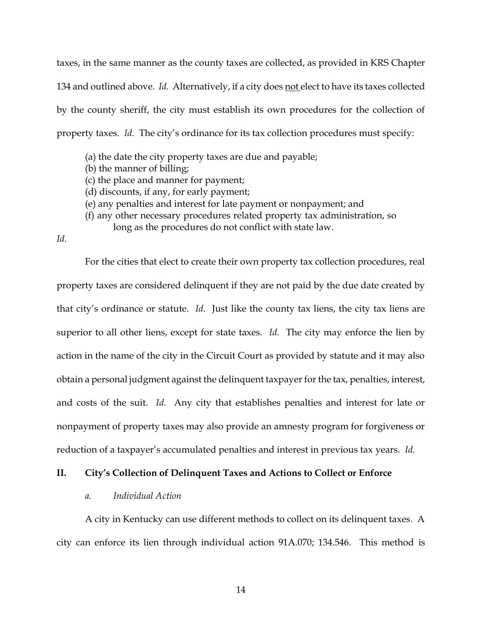taxes, in the same manner as the county taxes are collected, as provided in KRS Chapter 134 and outlined above. *Id.* Alternatively, if a city does not elect to have its taxes collected by the county sheriff, the city must establish its own procedures for the collection of property taxes. *Id.* The city's ordinance for its tax collection procedures must specify:

- (a) the date the city property taxes are due and payable;
- (b) the manner of billing;
- (c) the place and manner for payment;
- (d) discounts, if any, for early payment;
- (e) any penalties and interest for late payment or nonpayment; and
- (f) any other necessary procedures related property tax administration, so

long as the procedures do not conflict with state law.

*Id.*

For the cities that elect to create their own property tax collection procedures, real property taxes are considered delinquent if they are not paid by the due date created by that city's ordinance or statute. *Id.* Just like the county tax liens, the city tax liens are superior to all other liens, except for state taxes. *Id.* The city may enforce the lien by action in the name of the city in the Circuit Court as provided by statute and it may also obtain a personal judgment against the delinquent taxpayer for the tax, penalties, interest, and costs of the suit. *Id.* Any city that establishes penalties and interest for late or nonpayment of property taxes may also provide an amnesty program for forgiveness or reduction of a taxpayer's accumulated penalties and interest in previous tax years. *Id.*

## **II. City's Collection of Delinquent Taxes and Actions to Collect or Enforce**

### *a. Individual Action*

A city in Kentucky can use different methods to collect on its delinquent taxes. A city can enforce its lien through individual action 91A.070; 134.546. This method is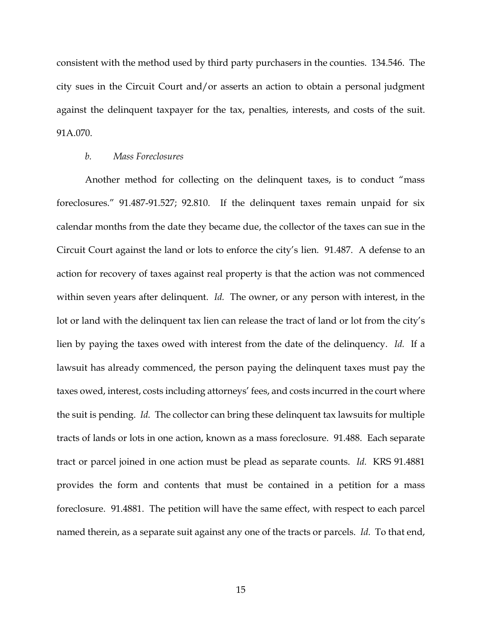consistent with the method used by third party purchasers in the counties. 134.546. The city sues in the Circuit Court and/or asserts an action to obtain a personal judgment against the delinquent taxpayer for the tax, penalties, interests, and costs of the suit. 91A.070.

#### *b. Mass Foreclosures*

Another method for collecting on the delinquent taxes, is to conduct "mass foreclosures." 91.487-91.527; 92.810. If the delinquent taxes remain unpaid for six calendar months from the date they became due, the collector of the taxes can sue in the Circuit Court against the land or lots to enforce the city's lien. 91.487. A defense to an action for recovery of taxes against real property is that the action was not commenced within seven years after delinquent. *Id.* The owner, or any person with interest, in the lot or land with the delinquent tax lien can release the tract of land or lot from the city's lien by paying the taxes owed with interest from the date of the delinquency. *Id.* If a lawsuit has already commenced, the person paying the delinquent taxes must pay the taxes owed, interest, costs including attorneys' fees, and costs incurred in the court where the suit is pending. *Id.* The collector can bring these delinquent tax lawsuits for multiple tracts of lands or lots in one action, known as a mass foreclosure. 91.488. Each separate tract or parcel joined in one action must be plead as separate counts. *Id.* KRS 91.4881 provides the form and contents that must be contained in a petition for a mass foreclosure. 91.4881. The petition will have the same effect, with respect to each parcel named therein, as a separate suit against any one of the tracts or parcels. *Id.* To that end,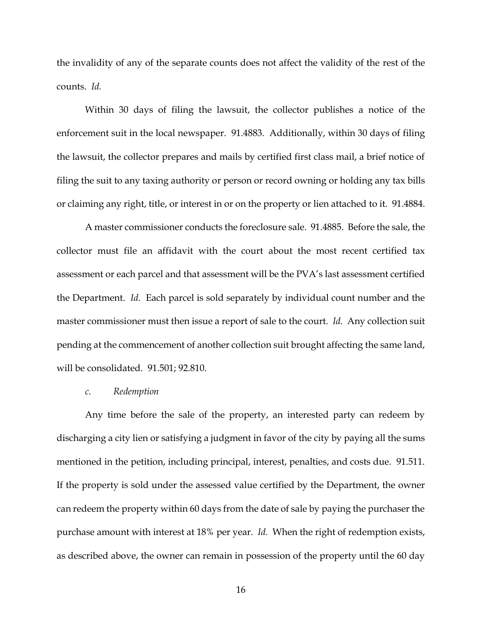the invalidity of any of the separate counts does not affect the validity of the rest of the counts. *Id.*

Within 30 days of filing the lawsuit, the collector publishes a notice of the enforcement suit in the local newspaper. 91.4883. Additionally, within 30 days of filing the lawsuit, the collector prepares and mails by certified first class mail, a brief notice of filing the suit to any taxing authority or person or record owning or holding any tax bills or claiming any right, title, or interest in or on the property or lien attached to it. 91.4884.

A master commissioner conducts the foreclosure sale. 91.4885. Before the sale, the collector must file an affidavit with the court about the most recent certified tax assessment or each parcel and that assessment will be the PVA's last assessment certified the Department. *Id.* Each parcel is sold separately by individual count number and the master commissioner must then issue a report of sale to the court. *Id.* Any collection suit pending at the commencement of another collection suit brought affecting the same land, will be consolidated. 91.501; 92.810.

#### *c. Redemption*

Any time before the sale of the property, an interested party can redeem by discharging a city lien or satisfying a judgment in favor of the city by paying all the sums mentioned in the petition, including principal, interest, penalties, and costs due. 91.511. If the property is sold under the assessed value certified by the Department, the owner can redeem the property within 60 days from the date of sale by paying the purchaser the purchase amount with interest at 18% per year. *Id.* When the right of redemption exists, as described above, the owner can remain in possession of the property until the 60 day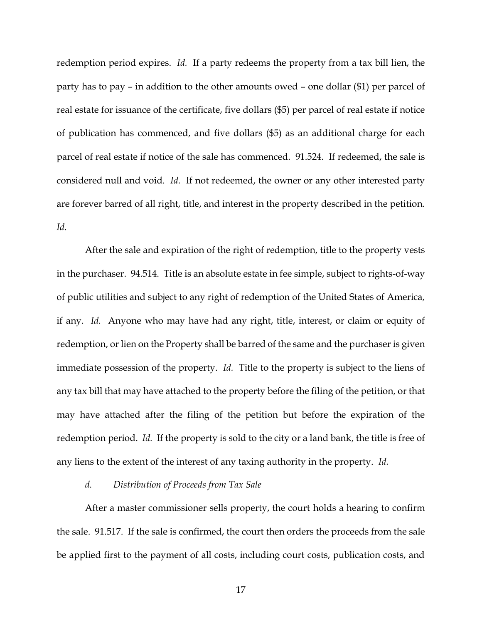redemption period expires. *Id.* If a party redeems the property from a tax bill lien, the party has to pay – in addition to the other amounts owed – one dollar (\$1) per parcel of real estate for issuance of the certificate, five dollars (\$5) per parcel of real estate if notice of publication has commenced, and five dollars (\$5) as an additional charge for each parcel of real estate if notice of the sale has commenced. 91.524. If redeemed, the sale is considered null and void. *Id.* If not redeemed, the owner or any other interested party are forever barred of all right, title, and interest in the property described in the petition. *Id.*

After the sale and expiration of the right of redemption, title to the property vests in the purchaser. 94.514. Title is an absolute estate in fee simple, subject to rights-of-way of public utilities and subject to any right of redemption of the United States of America, if any. *Id.* Anyone who may have had any right, title, interest, or claim or equity of redemption, or lien on the Property shall be barred of the same and the purchaser is given immediate possession of the property. *Id.* Title to the property is subject to the liens of any tax bill that may have attached to the property before the filing of the petition, or that may have attached after the filing of the petition but before the expiration of the redemption period. *Id.* If the property is sold to the city or a land bank, the title is free of any liens to the extent of the interest of any taxing authority in the property. *Id.*

#### *d. Distribution of Proceeds from Tax Sale*

After a master commissioner sells property, the court holds a hearing to confirm the sale. 91.517. If the sale is confirmed, the court then orders the proceeds from the sale be applied first to the payment of all costs, including court costs, publication costs, and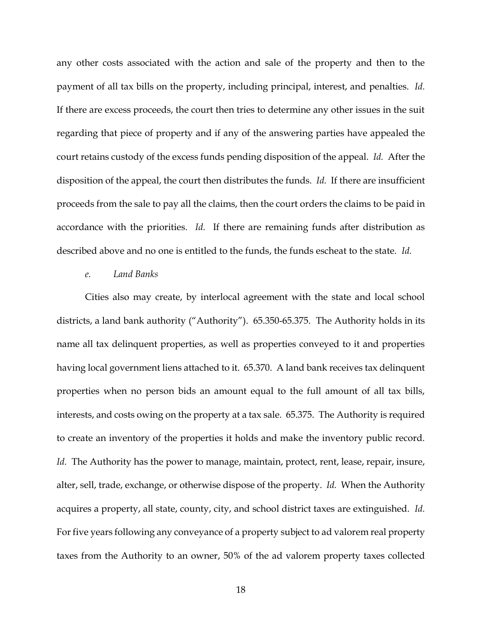any other costs associated with the action and sale of the property and then to the payment of all tax bills on the property, including principal, interest, and penalties. *Id.* If there are excess proceeds, the court then tries to determine any other issues in the suit regarding that piece of property and if any of the answering parties have appealed the court retains custody of the excess funds pending disposition of the appeal. *Id.* After the disposition of the appeal, the court then distributes the funds. *Id.* If there are insufficient proceeds from the sale to pay all the claims, then the court orders the claims to be paid in accordance with the priorities. *Id.* If there are remaining funds after distribution as described above and no one is entitled to the funds, the funds escheat to the state. *Id.*

#### *e. Land Banks*

Cities also may create, by interlocal agreement with the state and local school districts, a land bank authority ("Authority"). 65.350-65.375. The Authority holds in its name all tax delinquent properties, as well as properties conveyed to it and properties having local government liens attached to it. 65.370. A land bank receives tax delinquent properties when no person bids an amount equal to the full amount of all tax bills, interests, and costs owing on the property at a tax sale. 65.375. The Authority is required to create an inventory of the properties it holds and make the inventory public record. *Id.* The Authority has the power to manage, maintain, protect, rent, lease, repair, insure, alter, sell, trade, exchange, or otherwise dispose of the property. *Id.* When the Authority acquires a property, all state, county, city, and school district taxes are extinguished. *Id.* For five years following any conveyance of a property subject to ad valorem real property taxes from the Authority to an owner, 50% of the ad valorem property taxes collected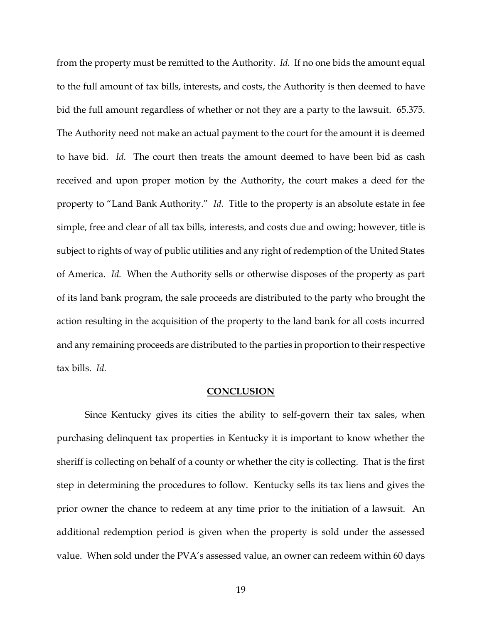from the property must be remitted to the Authority. *Id.* If no one bids the amount equal to the full amount of tax bills, interests, and costs, the Authority is then deemed to have bid the full amount regardless of whether or not they are a party to the lawsuit. 65.375. The Authority need not make an actual payment to the court for the amount it is deemed to have bid. *Id.* The court then treats the amount deemed to have been bid as cash received and upon proper motion by the Authority, the court makes a deed for the property to "Land Bank Authority." *Id.* Title to the property is an absolute estate in fee simple, free and clear of all tax bills, interests, and costs due and owing; however, title is subject to rights of way of public utilities and any right of redemption of the United States of America. *Id.* When the Authority sells or otherwise disposes of the property as part of its land bank program, the sale proceeds are distributed to the party who brought the action resulting in the acquisition of the property to the land bank for all costs incurred and any remaining proceeds are distributed to the parties in proportion to their respective tax bills. *Id.*

#### **CONCLUSION**

Since Kentucky gives its cities the ability to self-govern their tax sales, when purchasing delinquent tax properties in Kentucky it is important to know whether the sheriff is collecting on behalf of a county or whether the city is collecting. That is the first step in determining the procedures to follow. Kentucky sells its tax liens and gives the prior owner the chance to redeem at any time prior to the initiation of a lawsuit. An additional redemption period is given when the property is sold under the assessed value. When sold under the PVA's assessed value, an owner can redeem within 60 days